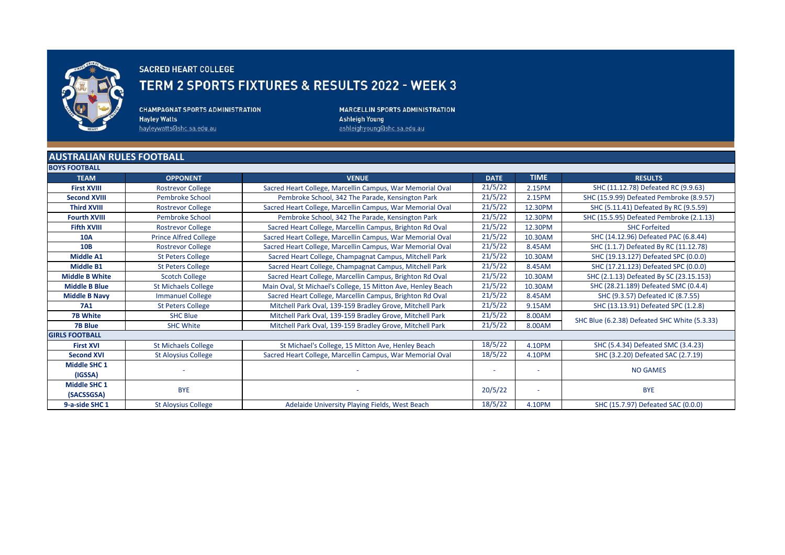

## **SACRED HEART COLLEGE**

## TERM 2 SPORTS FIXTURES & RESULTS 2022 - WEEK 3

**CHAMPAGNAT SPORTS ADMINISTRATION Hayley Watts** hayleywatts@shc.sa.edu.au

MARCELLIN SPORTS ADMINISTRATION **Ashleigh Young** ashleighyoung@shc.sa.edu.au

## **AUSTRALIAN RULES FOOTBALL**

| <b>BOYS FOOTBALL</b>  |                              |                                                              |             |             |                                               |
|-----------------------|------------------------------|--------------------------------------------------------------|-------------|-------------|-----------------------------------------------|
| <b>TEAM</b>           | <b>OPPONENT</b>              | <b>VENUE</b>                                                 | <b>DATE</b> | <b>TIME</b> | <b>RESULTS</b>                                |
| <b>First XVIII</b>    | <b>Rostrevor College</b>     | Sacred Heart College, Marcellin Campus, War Memorial Oval    | 21/5/22     | 2.15PM      | SHC (11.12.78) Defeated RC (9.9.63)           |
| <b>Second XVIII</b>   | Pembroke School              | Pembroke School, 342 The Parade, Kensington Park             | 21/5/22     | 2.15PM      | SHC (15.9.99) Defeated Pembroke (8.9.57)      |
| <b>Third XVIII</b>    | <b>Rostrevor College</b>     | Sacred Heart College, Marcellin Campus, War Memorial Oval    | 21/5/22     | 12.30PM     | SHC (5.11.41) Defeated By RC (9.5.59)         |
| <b>Fourth XVIII</b>   | <b>Pembroke School</b>       | Pembroke School, 342 The Parade, Kensington Park             | 21/5/22     | 12.30PM     | SHC (15.5.95) Defeated Pembroke (2.1.13)      |
| <b>Fifth XVIII</b>    | <b>Rostrevor College</b>     | Sacred Heart College, Marcellin Campus, Brighton Rd Oval     | 21/5/22     | 12.30PM     | <b>SHC Forfeited</b>                          |
| <b>10A</b>            | <b>Prince Alfred College</b> | Sacred Heart College, Marcellin Campus, War Memorial Oval    | 21/5/22     | 10.30AM     | SHC (14.12.96) Defeated PAC (6.8.44)          |
| <b>10B</b>            | <b>Rostrevor College</b>     | Sacred Heart College, Marcellin Campus, War Memorial Oval    | 21/5/22     | 8.45AM      | SHC (1.1.7) Defeated By RC (11.12.78)         |
| <b>Middle A1</b>      | <b>St Peters College</b>     | Sacred Heart College, Champagnat Campus, Mitchell Park       | 21/5/22     | 10.30AM     | SHC (19.13.127) Defeated SPC (0.0.0)          |
| <b>Middle B1</b>      | <b>St Peters College</b>     | Sacred Heart College, Champagnat Campus, Mitchell Park       | 21/5/22     | 8.45AM      | SHC (17.21.123) Defeated SPC (0.0.0)          |
| <b>Middle B White</b> | <b>Scotch College</b>        | Sacred Heart College, Marcellin Campus, Brighton Rd Oval     | 21/5/22     | 10.30AM     | SHC (2.1.13) Defeated By SC (23.15.153)       |
| <b>Middle B Blue</b>  | <b>St Michaels College</b>   | Main Oval, St Michael's College, 15 Mitton Ave, Henley Beach | 21/5/22     | 10.30AM     | SHC (28.21.189) Defeated SMC (0.4.4)          |
| <b>Middle B Navy</b>  | <b>Immanuel College</b>      | Sacred Heart College, Marcellin Campus, Brighton Rd Oval     | 21/5/22     | 8.45AM      | SHC (9.3.57) Defeated IC (8.7.55)             |
| <b>7A1</b>            | <b>St Peters College</b>     | Mitchell Park Oval, 139-159 Bradley Grove, Mitchell Park     | 21/5/22     | 9.15AM      | SHC (13.13.91) Defeated SPC (1.2.8)           |
| <b>7B White</b>       | <b>SHC Blue</b>              | Mitchell Park Oval, 139-159 Bradley Grove, Mitchell Park     | 21/5/22     | 8.00AM      | SHC Blue (6.2.38) Defeated SHC White (5.3.33) |
| <b>7B Blue</b>        | <b>SHC White</b>             | Mitchell Park Oval, 139-159 Bradley Grove, Mitchell Park     | 21/5/22     | 8.00AM      |                                               |
| <b>GIRLS FOOTBALL</b> |                              |                                                              |             |             |                                               |
| <b>First XVI</b>      | <b>St Michaels College</b>   | St Michael's College, 15 Mitton Ave, Henley Beach            | 18/5/22     | 4.10PM      | SHC (5.4.34) Defeated SMC (3.4.23)            |
| <b>Second XVI</b>     | <b>St Aloysius College</b>   | Sacred Heart College, Marcellin Campus, War Memorial Oval    | 18/5/22     | 4.10PM      | SHC (3.2.20) Defeated SAC (2.7.19)            |
| <b>Middle SHC 1</b>   |                              |                                                              |             |             |                                               |
| (IGSSA)               |                              |                                                              |             |             | <b>NO GAMES</b>                               |
| <b>Middle SHC 1</b>   |                              |                                                              |             |             | <b>BYE</b>                                    |
| (SACSSGSA)            | <b>BYE</b>                   |                                                              | 20/5/22     |             |                                               |
| 9-a-side SHC 1        | <b>St Aloysius College</b>   | Adelaide University Playing Fields, West Beach               | 18/5/22     | 4.10PM      | SHC (15.7.97) Defeated SAC (0.0.0)            |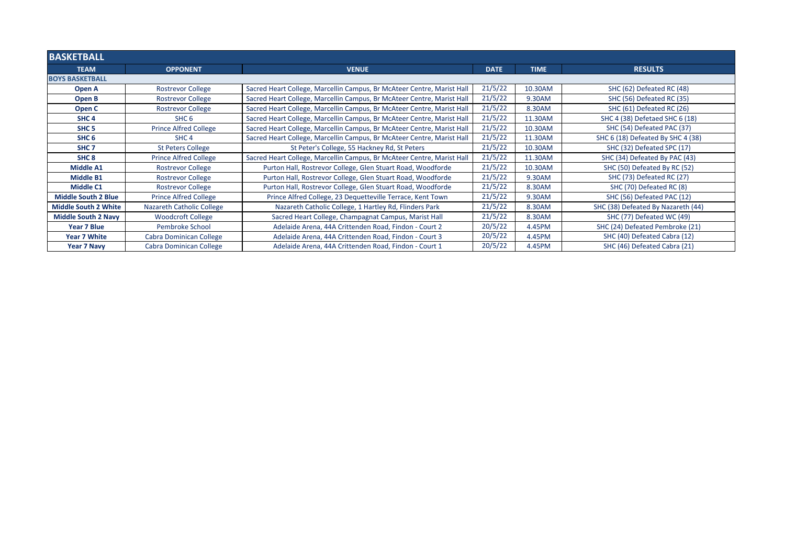| <b>BASKETBALL</b>           |                              |                                                                        |             |             |                                    |
|-----------------------------|------------------------------|------------------------------------------------------------------------|-------------|-------------|------------------------------------|
| <b>TEAM</b>                 | <b>OPPONENT</b>              | <b>VENUE</b>                                                           | <b>DATE</b> | <b>TIME</b> | <b>RESULTS</b>                     |
| <b>BOYS BASKETBALL</b>      |                              |                                                                        |             |             |                                    |
| Open A                      | <b>Rostrevor College</b>     | Sacred Heart College, Marcellin Campus, Br McAteer Centre, Marist Hall | 21/5/22     | 10.30AM     | SHC (62) Defeated RC (48)          |
| Open B                      | <b>Rostrevor College</b>     | Sacred Heart College, Marcellin Campus, Br McAteer Centre, Marist Hall | 21/5/22     | 9.30AM      | SHC (56) Defeated RC (35)          |
| Open C                      | <b>Rostrevor College</b>     | Sacred Heart College, Marcellin Campus, Br McAteer Centre, Marist Hall | 21/5/22     | 8.30AM      | SHC (61) Defeated RC (26)          |
| SHC <sub>4</sub>            | SHC <sub>6</sub>             | Sacred Heart College, Marcellin Campus, Br McAteer Centre, Marist Hal  | 21/5/22     | 11.30AM     | SHC 4 (38) Defetaed SHC 6 (18)     |
| SHC <sub>5</sub>            | <b>Prince Alfred College</b> | Sacred Heart College, Marcellin Campus, Br McAteer Centre, Marist Hall | 21/5/22     | 10.30AM     | SHC (54) Defeated PAC (37)         |
| SHC <sub>6</sub>            | SHC <sub>4</sub>             | Sacred Heart College, Marcellin Campus, Br McAteer Centre, Marist Hall | 21/5/22     | 11.30AM     | SHC 6 (18) Defeated By SHC 4 (38)  |
| SHC <sub>7</sub>            | <b>St Peters College</b>     | St Peter's College, 55 Hackney Rd, St Peters                           | 21/5/22     | 10.30AM     | SHC (32) Defeated SPC (17)         |
| SHC <sub>8</sub>            | <b>Prince Alfred College</b> | Sacred Heart College, Marcellin Campus, Br McAteer Centre, Marist Hall | 21/5/22     | 11.30AM     | SHC (34) Defeated By PAC (43)      |
| <b>Middle A1</b>            | <b>Rostrevor College</b>     | Purton Hall, Rostrevor College, Glen Stuart Road, Woodforde            | 21/5/22     | 10.30AM     | SHC (50) Defeated By RC (52)       |
| <b>Middle B1</b>            | <b>Rostrevor College</b>     | Purton Hall, Rostrevor College, Glen Stuart Road, Woodforde            | 21/5/22     | 9.30AM      | SHC (73) Defeated RC (27)          |
| Middle C1                   | <b>Rostrevor College</b>     | Purton Hall, Rostrevor College, Glen Stuart Road, Woodforde            | 21/5/22     | 8.30AM      | SHC (70) Defeated RC (8)           |
| <b>Middle South 2 Blue</b>  | <b>Prince Alfred College</b> | Prince Alfred College, 23 Dequetteville Terrace, Kent Town             | 21/5/22     | 9.30AM      | SHC (56) Defeated PAC (12)         |
| <b>Middle South 2 White</b> | Nazareth Catholic College    | Nazareth Catholic College, 1 Hartley Rd, Flinders Park                 | 21/5/22     | 8.30AM      | SHC (38) Defeated By Nazareth (44) |
| <b>Middle South 2 Navy</b>  | <b>Woodcroft College</b>     | Sacred Heart College, Champagnat Campus, Marist Hall                   | 21/5/22     | 8.30AM      | SHC (77) Defeated WC (49)          |
| Year 7 Blue                 | Pembroke School              | Adelaide Arena, 44A Crittenden Road, Findon - Court 2                  | 20/5/22     | 4.45PM      | SHC (24) Defeated Pembroke (21)    |
| Year 7 White                | Cabra Dominican College      | Adelaide Arena, 44A Crittenden Road, Findon - Court 3                  | 20/5/22     | 4.45PM      | SHC (40) Defeated Cabra (12)       |
| Year 7 Navy                 | Cabra Dominican College      | Adelaide Arena, 44A Crittenden Road, Findon - Court 1                  | 20/5/22     | 4.45PM      | SHC (46) Defeated Cabra (21)       |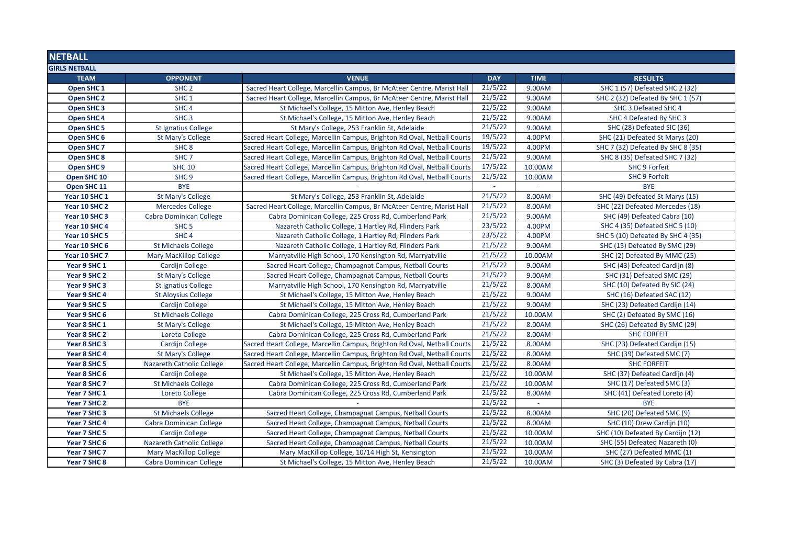| <b>NETBALL</b>        |                                  |                                                                          |            |             |                                   |
|-----------------------|----------------------------------|--------------------------------------------------------------------------|------------|-------------|-----------------------------------|
| <b>GIRLS NETBALL</b>  |                                  |                                                                          |            |             |                                   |
| <b>TEAM</b>           | <b>OPPONENT</b>                  | <b>VENUE</b>                                                             | <b>DAY</b> | <b>TIME</b> | <b>RESULTS</b>                    |
| Open SHC <sub>1</sub> | SHC <sub>2</sub>                 | Sacred Heart College, Marcellin Campus, Br McAteer Centre, Marist Hall   | 21/5/22    | 9.00AM      | SHC 1 (57) Defeated SHC 2 (32)    |
| Open SHC 2            | SHC <sub>1</sub>                 | Sacred Heart College, Marcellin Campus, Br McAteer Centre, Marist Hall   | 21/5/22    | 9.00AM      | SHC 2 (32) Defeated By SHC 1 (57) |
| Open SHC <sub>3</sub> | SHC <sub>4</sub>                 | St Michael's College, 15 Mitton Ave, Henley Beach                        | 21/5/22    | 9.00AM      | SHC 3 Defeated SHC 4              |
| Open SHC 4            | SHC <sub>3</sub>                 | St Michael's College, 15 Mitton Ave, Henley Beach                        | 21/5/22    | 9.00AM      | SHC 4 Defeated By SHC 3           |
| Open SHC 5            | <b>St Ignatius College</b>       | St Mary's College, 253 Franklin St, Adelaide                             | 21/5/22    | 9.00AM      | SHC (28) Defeated SIC (36)        |
| Open SHC 6            | <b>St Mary's College</b>         | Sacred Heart College, Marcellin Campus, Brighton Rd Oval, Netball Courts | 19/5/22    | 4.00PM      | SHC (21) Defeated St Marys (20)   |
| Open SHC <sub>7</sub> | SHC <sub>8</sub>                 | Sacred Heart College, Marcellin Campus, Brighton Rd Oval, Netball Courts | 19/5/22    | 4.00PM      | SHC 7 (32) Defeated By SHC 8 (35) |
| Open SHC 8            | SHC <sub>7</sub>                 | Sacred Heart College, Marcellin Campus, Brighton Rd Oval, Netball Courts | 21/5/22    | 9.00AM      | SHC 8 (35) Defeated SHC 7 (32)    |
| Open SHC 9            | <b>SHC 10</b>                    | Sacred Heart College, Marcellin Campus, Brighton Rd Oval, Netball Courts | 17/5/22    | 10.00AM     | <b>SHC 9 Forfeit</b>              |
| Open SHC 10           | SHC <sub>9</sub>                 | Sacred Heart College, Marcellin Campus, Brighton Rd Oval, Netball Courts | 21/5/22    | 10.00AM     | <b>SHC 9 Forfeit</b>              |
| Open SHC 11           | <b>BYE</b>                       |                                                                          | $\sim$     |             | <b>BYE</b>                        |
| Year 10 SHC 1         | <b>St Mary's College</b>         | St Mary's College, 253 Franklin St, Adelaide                             | 21/5/22    | 8.00AM      | SHC (49) Defeated St Marys (15)   |
| Year 10 SHC 2         | <b>Mercedes College</b>          | Sacred Heart College, Marcellin Campus, Br McAteer Centre, Marist Hall   | 21/5/22    | 8.00AM      | SHC (22) Defeated Mercedes (18)   |
| Year 10 SHC 3         | Cabra Dominican College          | Cabra Dominican College, 225 Cross Rd, Cumberland Park                   | 21/5/22    | 9.00AM      | SHC (49) Defeated Cabra (10)      |
| Year 10 SHC 4         | SHC <sub>5</sub>                 | Nazareth Catholic College, 1 Hartley Rd, Flinders Park                   | 23/5/22    | 4.00PM      | SHC 4 (35) Defeated SHC 5 (10)    |
| Year 10 SHC 5         | SHC <sub>4</sub>                 | Nazareth Catholic College, 1 Hartley Rd, Flinders Park                   | 23/5/22    | 4.00PM      | SHC 5 (10) Defeated By SHC 4 (35) |
| Year 10 SHC 6         | <b>St Michaels College</b>       | Nazareth Catholic College, 1 Hartley Rd, Flinders Park                   | 21/5/22    | 9.00AM      | SHC (15) Defeated By SMC (29)     |
| Year 10 SHC 7         | Mary MacKillop College           | Marryatville High School, 170 Kensington Rd, Marryatville                | 21/5/22    | 10.00AM     | SHC (2) Defeated By MMC (25)      |
| Year 9 SHC 1          | Cardijn College                  | Sacred Heart College, Champagnat Campus, Netball Courts                  | 21/5/22    | 9.00AM      | SHC (43) Defeated Cardijn (8)     |
| Year 9 SHC 2          | <b>St Mary's College</b>         | Sacred Heart College, Champagnat Campus, Netball Courts                  | 21/5/22    | 9.00AM      | SHC (31) Defeated SMC (29)        |
| Year 9 SHC 3          | <b>St Ignatius College</b>       | Marryatville High School, 170 Kensington Rd, Marryatville                | 21/5/22    | 8.00AM      | SHC (10) Defeated By SIC (24)     |
| Year 9 SHC 4          | <b>St Aloysius College</b>       | St Michael's College, 15 Mitton Ave, Henley Beach                        | 21/5/22    | 9.00AM      | SHC (16) Defeated SAC (12)        |
| Year 9 SHC 5          | Cardijn College                  | St Michael's College, 15 Mitton Ave, Henley Beach                        | 21/5/22    | 9.00AM      | SHC (23) Defeated Cardijn (14)    |
| Year 9 SHC 6          | <b>St Michaels College</b>       | Cabra Dominican College, 225 Cross Rd, Cumberland Park                   | 21/5/22    | 10.00AM     | SHC (2) Defeated By SMC (16)      |
| Year 8 SHC 1          | <b>St Mary's College</b>         | St Michael's College, 15 Mitton Ave, Henley Beach                        | 21/5/22    | 8.00AM      | SHC (26) Defeated By SMC (29)     |
| Year 8 SHC 2          | Loreto College                   | Cabra Dominican College, 225 Cross Rd, Cumberland Park                   | 21/5/22    | 8.00AM      | <b>SHC FORFEIT</b>                |
| Year 8 SHC 3          | <b>Cardijn College</b>           | Sacred Heart College, Marcellin Campus, Brighton Rd Oval, Netball Courts | 21/5/22    | 8.00AM      | SHC (23) Defeated Cardijn (15)    |
| Year 8 SHC 4          | <b>St Mary's College</b>         | Sacred Heart College, Marcellin Campus, Brighton Rd Oval, Netball Courts | 21/5/22    | 8.00AM      | SHC (39) Defeated SMC (7)         |
| Year 8 SHC 5          | <b>Nazareth Catholic College</b> | Sacred Heart College, Marcellin Campus, Brighton Rd Oval, Netball Courts | 21/5/22    | 8.00AM      | <b>SHC FORFEIT</b>                |
| Year 8 SHC 6          | Cardijn College                  | St Michael's College, 15 Mitton Ave, Henley Beach                        | 21/5/22    | 10.00AM     | SHC (37) Defeated Cardijn (4)     |
| Year 8 SHC 7          | <b>St Michaels College</b>       | Cabra Dominican College, 225 Cross Rd, Cumberland Park                   | 21/5/22    | 10.00AM     | SHC (17) Defeated SMC (3)         |
| Year 7 SHC 1          | Loreto College                   | Cabra Dominican College, 225 Cross Rd, Cumberland Park                   | 21/5/22    | 8.00AM      | SHC (41) Defeated Loreto (4)      |
| Year 7 SHC 2          | <b>BYE</b>                       |                                                                          | 21/5/22    |             | <b>BYE</b>                        |
| Year 7 SHC 3          | <b>St Michaels College</b>       | Sacred Heart College, Champagnat Campus, Netball Courts                  | 21/5/22    | 8.00AM      | SHC (20) Defeated SMC (9)         |
| Year 7 SHC 4          | <b>Cabra Dominican College</b>   | Sacred Heart College, Champagnat Campus, Netball Courts                  | 21/5/22    | 8.00AM      | SHC (10) Drew Cardijn (10)        |
| Year 7 SHC 5          | Cardijn College                  | Sacred Heart College, Champagnat Campus, Netball Courts                  | 21/5/22    | 10.00AM     | SHC (10) Defeated By Cardijn (12) |
| Year 7 SHC 6          | <b>Nazareth Catholic College</b> | Sacred Heart College, Champagnat Campus, Netball Courts                  | 21/5/22    | 10.00AM     | SHC (55) Defeated Nazareth (0)    |
| Year 7 SHC 7          | <b>Mary MacKillop College</b>    | Mary MacKillop College, 10/14 High St, Kensington                        | 21/5/22    | 10.00AM     | SHC (27) Defeated MMC (1)         |
| Year 7 SHC 8          | <b>Cabra Dominican College</b>   | St Michael's College, 15 Mitton Ave, Henley Beach                        | 21/5/22    | 10.00AM     | SHC (3) Defeated By Cabra (17)    |